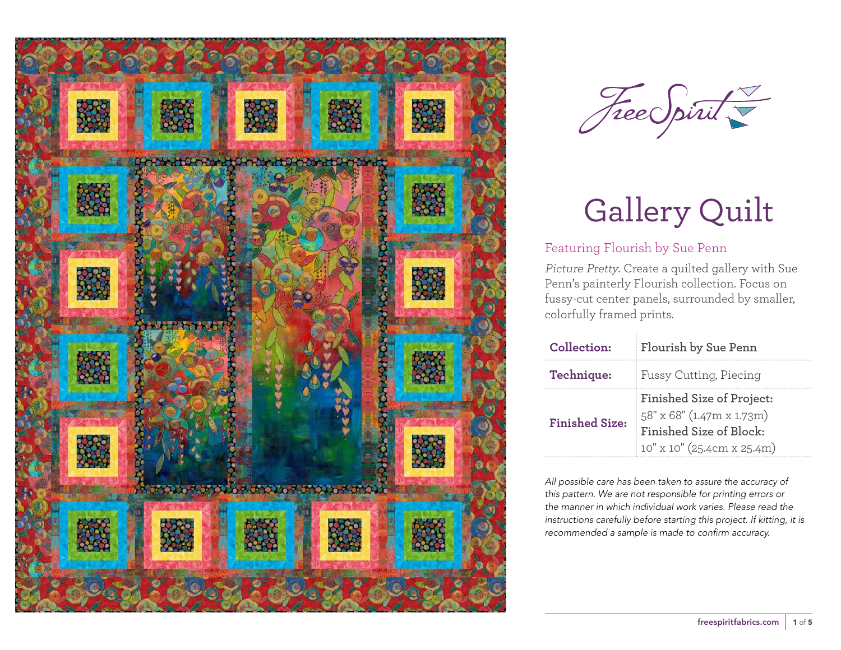



### Featuring Flourish by Sue Penn

Picture Pretty. Create a quilted gallery with Sue Penn's painterly Flourish collection. Focus on fussy-cut center panels, surrounded by smaller, colorfully framed prints.

| Collection:           | Flourish by Sue Penn                                                                                            |  |
|-----------------------|-----------------------------------------------------------------------------------------------------------------|--|
| Technique:            | Fussy Cutting, Piecing                                                                                          |  |
| <b>Finished Size:</b> | Finished Size of Project:<br>58" x 68" (1.47m x 1.73m)<br>Finished Size of Block:<br>10" x 10" (25.4cm x 25.4m) |  |

*All possible care has been taken to assure the accuracy of this pattern. We are not responsible for printing errors or the manner in which individual work varies. Please read the instructions carefully before starting this project. If kitting, it is recommended a sample is made to confirm accuracy.*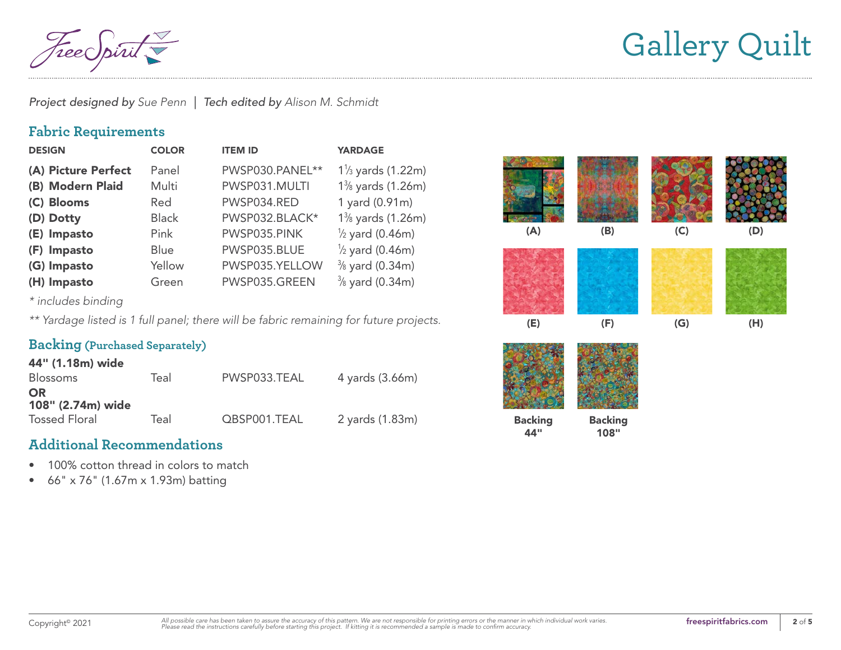*Project designed by Sue Penn | Tech edited by Alison M. Schmidt*

### **Fabric Requirements**

| <b>DESIGN</b>       | <b>COLOR</b> | <b>ITEM ID</b>  | <b>YARDAGE</b>               |
|---------------------|--------------|-----------------|------------------------------|
| (A) Picture Perfect | Panel        | PWSP030.PANEL** | $1\frac{1}{3}$ yards (1.22m) |
| (B) Modern Plaid    | Multi        | PWSP031.MULTI   | 1% yards (1.26m)             |
| (C) Blooms          | Red          | PWSP034.RED     | 1 yard (0.91m)               |
| (D) Dotty           | <b>Black</b> | PWSP032.BLACK*  | 1% yards (1.26m)             |
| (E) Impasto         | Pink         | PWSP035.PINK    | $\frac{1}{2}$ yard (0.46m)   |
| (F) Impasto         | Blue         | PWSP035.BLUE    | $\frac{1}{2}$ yard (0.46m)   |
| (G) Impasto         | Yellow       | PWSP035.YELLOW  | $\frac{3}{8}$ yard (0.34m)   |
| (H) Impasto         | Green        | PWSP035.GREEN   | $\frac{3}{8}$ yard (0.34m)   |

*\* includes binding*

*\*\* Yardage listed is 1 full panel; there will be fabric remaining for future projects.*

#### **Backing (Purchased Separately)**

| 44" (1.18m) wide     |      |              |                 |
|----------------------|------|--------------|-----------------|
| <b>Blossoms</b>      | Teal | PWSP033.TEAL | 4 yards (3.66m) |
| <b>OR</b>            |      |              |                 |
| 108" (2.74m) wide    |      |              |                 |
| <b>Tossed Floral</b> | Teal | QBSP001.TEAL | 2 yards (1.83m) |

### **Additional Recommendations**

- 100% cotton thread in colors to match
- 66" x 76" (1.67m x 1.93m) batting

| (A)                   | (B)                    | (C) | (D) |
|-----------------------|------------------------|-----|-----|
|                       |                        |     |     |
| (E)                   | (F)                    | (G) | (H) |
|                       |                        |     |     |
| <b>Backing</b><br>44" | <b>Backing</b><br>108" |     |     |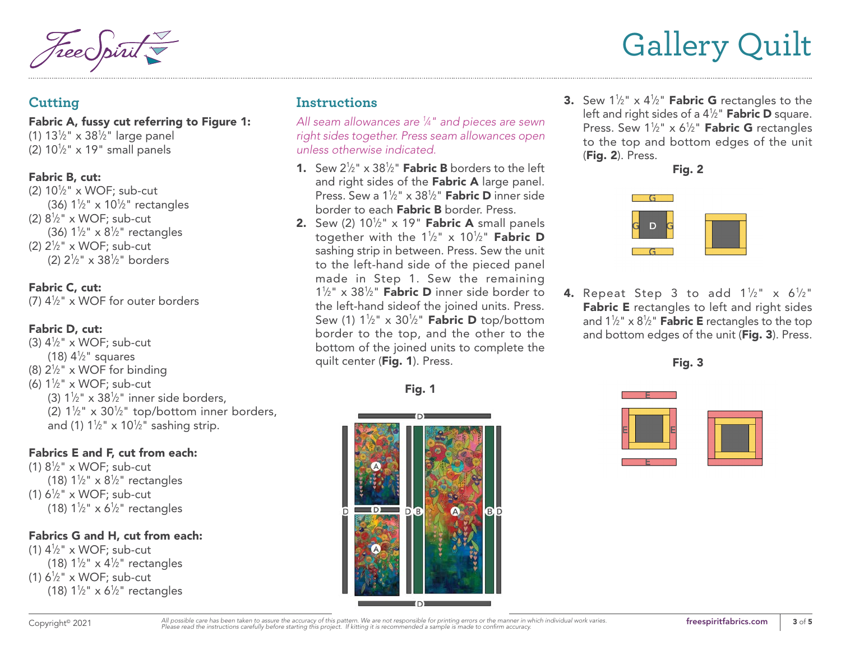#### **Cutting**

Fabric A, fussy cut referring to Figure 1: (1) 131 ⁄2" x 381 ⁄2" large panel (2)  $10\frac{1}{2}$ " x 19" small panels

#### Fabric B, cut:

(2)  $10\frac{1}{2}$ " x WOF; sub-cut (36)  $1\frac{1}{2}$ " x  $10\frac{1}{2}$ " rectangles (2)  $8\frac{1}{2}$ " x WOF; sub-cut (36)  $1\frac{1}{2}$ " x  $8\frac{1}{2}$ " rectangles (2)  $2\frac{1}{2}$ " x WOF; sub-cut (2) 21 ⁄2" x 381 ⁄2" borders

#### Fabric C, cut:

(7) 41 ⁄2" x WOF for outer borders

#### Fabric D, cut:

(3)  $4\frac{1}{2}$ " x WOF; sub-cut (18)  $4\frac{1}{2}$ " squares (8)  $2\frac{1}{2}$ " x WOF for binding (6)  $1\frac{1}{2}$ " x WOF; sub-cut (3)  $1\frac{1}{2}$ " x 38<sup>1</sup>/<sub>2</sub>" inner side borders, (2)  $1\frac{1}{2}$ " x  $30\frac{1}{2}$ " top/bottom inner borders, and (1)  $1\frac{1}{2}$ " x  $10\frac{1}{2}$ " sashing strip.

#### Fabrics E and F, cut from each:

(1)  $8\frac{1}{2}$ " x WOF; sub-cut (18)  $1\frac{1}{2}$ " x  $8\frac{1}{2}$ " rectangles (1)  $6\frac{1}{2}$ " x WOF; sub-cut (18)  $1\frac{1}{2}$ " x 6<sup>1</sup>/<sub>2</sub>" rectangles

#### Fabrics G and H, cut from each:

(1)  $4\frac{1}{2}$ " x WOF; sub-cut (18)  $1\frac{1}{2}$ " x  $4\frac{1}{2}$ " rectangles (1)  $6\frac{1}{2}$ " x WOF; sub-cut (18)  $1\frac{1}{2}$ " x 6<sup>1</sup>/<sub>2</sub>" rectangles

## **Instructions**

*All seam allowances are 1 ⁄4" and pieces are sewn right sides together. Press seam allowances open unless otherwise indicated.*

- **1.** Sew  $2\frac{1}{2}$ " x 38<sup>1</sup>/<sub>2</sub>" **Fabric B** borders to the left and right sides of the Fabric A large panel. Press. Sew a 1½" x 38½" **Fabric D** inner side border to each Fabric B border. Press.
- **2.** Sew (2)  $10^{1/2}$ " x 19" **Fabric A** small panels together with the 1½" x 10½" **Fabric D** sashing strip in between. Press. Sew the unit to the left-hand side of the pieced panel made in Step 1. Sew the remaining  $1\frac{1}{2}$ " x 38<sup>1</sup>/<sub>2</sub>" **Fabric D** inner side border to the left-hand sideof the joined units. Press. Sew (1) 1½" x 30½" **Fabric D** top/bottom border to the top, and the other to the bottom of the joined units to complete the quilt center (Fig. 1). Press.





**3.** Sew  $1\frac{1}{2}$ " **x**  $4\frac{1}{2}$ " **Fabric G** rectangles to the left and right sides of a 4½" **Fabric D** square. Press. Sew  $1\frac{1}{2}$ " x 6<sup>1</sup>/<sub>2</sub>" **Fabric G** rectangles to the top and bottom edges of the unit (Fig. 2). Press.





**4.** Repeat Step 3 to add 1½" x 6½" Fabric E rectangles to left and right sides and 1½" x 8½" **Fabric E** rectangles to the top and bottom edges of the unit (Fig. 3). Press.





Copyright<sup>®</sup> 2021 *All* possible care has been taken to assure the accuracy of this pattern. We are not responsible for printing errors or the manner in which individual work varies. **[freespiritfabrics.com](http://www.freespiritfabric.com) freespiritfabr**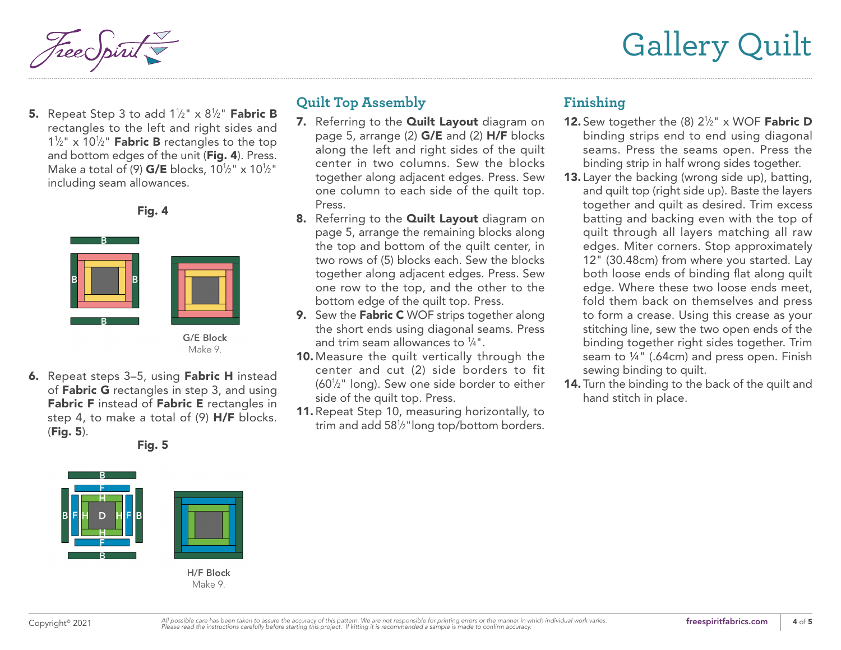

**5.** Repeat Step 3 to add 1½" x 8½" **Fabric B** rectangles to the left and right sides and  $1\frac{1}{2}$ " x  $10\frac{1}{2}$ " **Fabric B** rectangles to the top and bottom edges of the unit (Fig. 4). Press. Make a total of (9)  $G/E$  blocks, 10<sup>1</sup>/2" x 10<sup>1</sup>/2" including seam allowances.





**6.** Repeat steps 3–5, using **Fabric H** instead of **Fabric G** rectangles in step 3, and using Fabric F instead of Fabric E rectangles in step 4, to make a total of (9) H/F blocks. (Fig. 5).

Fig. 5



H/F Block Make 9.

## **Quilt Top Assembly**

- 7. Referring to the **[Quilt Layout](#page-4-0)** diagram on [page 5](#page-4-0), arrange (2) G/E and (2) H/F blocks along the left and right sides of the quilt center in two columns. Sew the blocks together along adjacent edges. Press. Sew one column to each side of the quilt top. Press.
- 8. Referring to the **[Quilt Layout](#page-4-0)** diagram on [page 5,](#page-4-0) arrange the remaining blocks along the top and bottom of the quilt center, in two rows of (5) blocks each. Sew the blocks together along adjacent edges. Press. Sew one row to the top, and the other to the bottom edge of the quilt top. Press.
- 9. Sew the Fabric C WOF strips together along the short ends using diagonal seams. Press and trim seam allowances to  $\frac{1}{4}$ ".
- 10. Measure the quilt vertically through the center and cut (2) side borders to fit (601 ⁄2" long). Sew one side border to either side of the quilt top. Press.
- 11. Repeat Step 10, measuring horizontally, to trim and add 581 ⁄2"long top/bottom borders.

### **Finishing**

- **12.** Sew together the  $(8)$   $2\frac{1}{2}$ " x WOF **Fabric D** binding strips end to end using diagonal seams. Press the seams open. Press the binding strip in half wrong sides together.
- 13. Layer the backing (wrong side up), batting, and quilt top (right side up). Baste the layers together and quilt as desired. Trim excess batting and backing even with the top of quilt through all layers matching all raw edges. Miter corners. Stop approximately 12" (30.48cm) from where you started. Lay both loose ends of binding flat along quilt edge. Where these two loose ends meet, fold them back on themselves and press to form a crease. Using this crease as your stitching line, sew the two open ends of the binding together right sides together. Trim seam to ¼" (.64cm) and press open. Finish sewing binding to quilt.
- 14. Turn the binding to the back of the quilt and hand stitch in place.